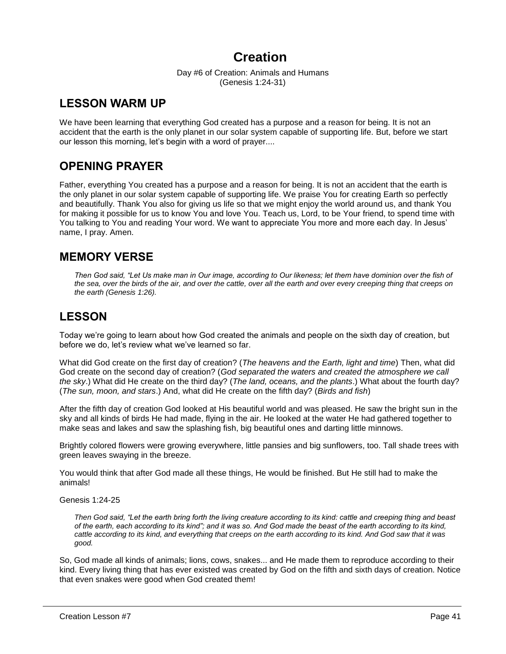# **Creation**

Day #6 of Creation: Animals and Humans (Genesis 1:24-31)

## **LESSON WARM UP**

We have been learning that everything God created has a purpose and a reason for being. It is not an accident that the earth is the only planet in our solar system capable of supporting life. But, before we start our lesson this morning, let's begin with a word of prayer....

# **OPENING PRAYER**

Father, everything You created has a purpose and a reason for being. It is not an accident that the earth is the only planet in our solar system capable of supporting life. We praise You for creating Earth so perfectly and beautifully. Thank You also for giving us life so that we might enjoy the world around us, and thank You for making it possible for us to know You and love You. Teach us, Lord, to be Your friend, to spend time with You talking to You and reading Your word. We want to appreciate You more and more each day. In Jesus' name, I pray. Amen.

## **MEMORY VERSE**

*Then God said, "Let Us make man in Our image, according to Our likeness; let them have dominion over the fish of the sea, over the birds of the air, and over the cattle, over all the earth and over every creeping thing that creeps on the earth (Genesis 1:26).*

# **LESSON**

Today we're going to learn about how God created the animals and people on the sixth day of creation, but before we do, let's review what we've learned so far.

What did God create on the first day of creation? (*The heavens and the Earth, light and time*) Then, what did God create on the second day of creation? (*God separated the waters and created the atmosphere we call the sky*.) What did He create on the third day? (*The land, oceans, and the plants*.) What about the fourth day? (*The sun, moon, and stars*.) And, what did He create on the fifth day? (*Birds and fish*)

After the fifth day of creation God looked at His beautiful world and was pleased. He saw the bright sun in the sky and all kinds of birds He had made, flying in the air. He looked at the water He had gathered together to make seas and lakes and saw the splashing fish, big beautiful ones and darting little minnows.

Brightly colored flowers were growing everywhere, little pansies and big sunflowers, too. Tall shade trees with green leaves swaying in the breeze.

You would think that after God made all these things, He would be finished. But He still had to make the animals!

Genesis 1:24-25

*Then God said, "Let the earth bring forth the living creature according to its kind: cattle and creeping thing and beast*  of the earth, each according to its kind"; and it was so. And God made the beast of the earth according to its kind, *cattle according to its kind, and everything that creeps on the earth according to its kind. And God saw that it was good.*

So, God made all kinds of animals; lions, cows, snakes... and He made them to reproduce according to their kind. Every living thing that has ever existed was created by God on the fifth and sixth days of creation. Notice that even snakes were good when God created them!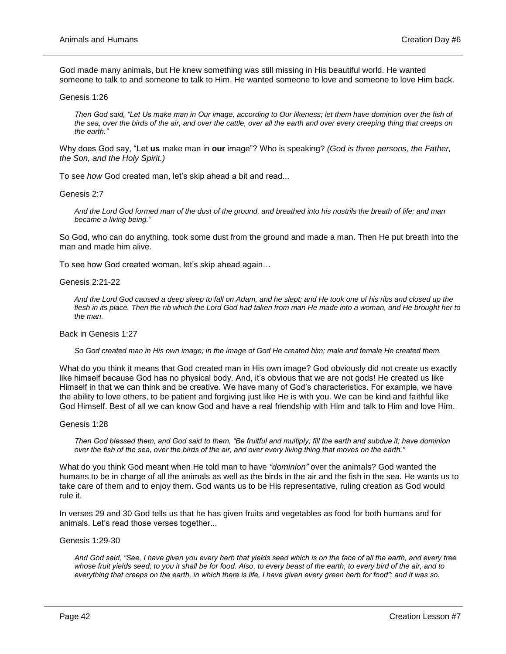God made many animals, but He knew something was still missing in His beautiful world. He wanted someone to talk to and someone to talk to Him. He wanted someone to love and someone to love Him back.

Genesis 1:26

*Then God said, "Let Us make man in Our image, according to Our likeness; let them have dominion over the fish of the sea, over the birds of the air, and over the cattle, over all the earth and over every creeping thing that creeps on the earth."*

Why does God say, "Let **us** make man in **our** image"? Who is speaking? *(God is three persons, the Father, the Son, and the Holy Spirit.)*

To see *how* God created man, let's skip ahead a bit and read...

Genesis 2:7

*And the Lord God formed man of the dust of the ground, and breathed into his nostrils the breath of life; and man became a living being."*

So God, who can do anything, took some dust from the ground and made a man. Then He put breath into the man and made him alive.

To see how God created woman, let's skip ahead again…

Genesis 2:21-22

*And the Lord God caused a deep sleep to fall on Adam, and he slept; and He took one of his ribs and closed up the*  flesh in its place. Then the rib which the Lord God had taken from man He made into a woman, and He brought her to *the man.*

Back in Genesis 1:27

*So God created man in His own image; in the image of God He created him; male and female He created them.*

What do you think it means that God created man in His own image? God obviously did not create us exactly like himself because God has no physical body. And, it's obvious that we are not gods! He created us like Himself in that we can think and be creative. We have many of God's characteristics. For example, we have the ability to love others, to be patient and forgiving just like He is with you. We can be kind and faithful like God Himself. Best of all we can know God and have a real friendship with Him and talk to Him and love Him.

Genesis 1:28

*Then God blessed them, and God said to them, "Be fruitful and multiply; fill the earth and subdue it; have dominion over the fish of the sea, over the birds of the air, and over every living thing that moves on the earth."*

What do you think God meant when He told man to have *"dominion"* over the animals? God wanted the humans to be in charge of all the animals as well as the birds in the air and the fish in the sea. He wants us to take care of them and to enjoy them. God wants us to be His representative, ruling creation as God would rule it.

In verses 29 and 30 God tells us that he has given fruits and vegetables as food for both humans and for animals. Let's read those verses together...

Genesis 1:29-30

*And God said, "See, I have given you every herb that yields seed which is on the face of all the earth, and every tree whose fruit yields seed; to you it shall be for food. Also, to every beast of the earth, to every bird of the air, and to everything that creeps on the earth, in which there is life, I have given every green herb for food"; and it was so.*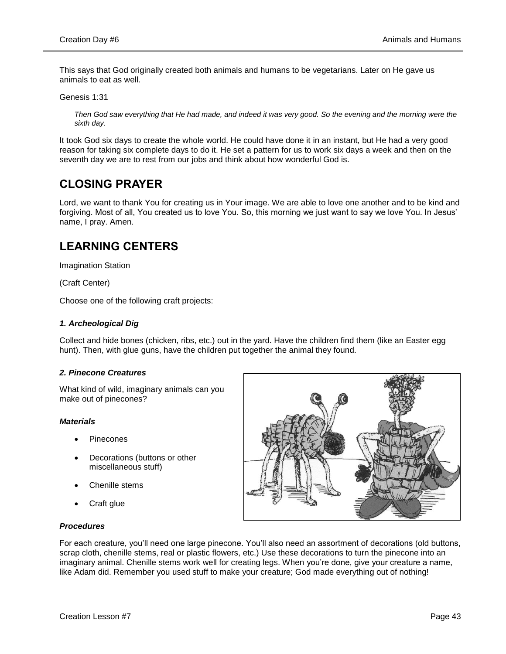This says that God originally created both animals and humans to be vegetarians. Later on He gave us animals to eat as well.

Genesis 1:31

*Then God saw everything that He had made, and indeed it was very good. So the evening and the morning were the sixth day.*

It took God six days to create the whole world. He could have done it in an instant, but He had a very good reason for taking six complete days to do it. He set a pattern for us to work six days a week and then on the seventh day we are to rest from our jobs and think about how wonderful God is.

# **CLOSING PRAYER**

Lord, we want to thank You for creating us in Your image. We are able to love one another and to be kind and forgiving. Most of all, You created us to love You. So, this morning we just want to say we love You. In Jesus' name, I pray. Amen.

# **LEARNING CENTERS**

Imagination Station

(Craft Center)

Choose one of the following craft projects:

## *1. Archeological Dig*

Collect and hide bones (chicken, ribs, etc.) out in the yard. Have the children find them (like an Easter egg hunt). Then, with glue guns, have the children put together the animal they found.

## *2. Pinecone Creatures*

What kind of wild, imaginary animals can you make out of pinecones?

## *Materials*

- Pinecones
- Decorations (buttons or other miscellaneous stuff)
- Chenille stems
- Craft glue

## *Procedures*



For each creature, you'll need one large pinecone. You'll also need an assortment of decorations (old buttons, scrap cloth, chenille stems, real or plastic flowers, etc.) Use these decorations to turn the pinecone into an imaginary animal. Chenille stems work well for creating legs. When you're done, give your creature a name, like Adam did. Remember you used stuff to make your creature; God made everything out of nothing!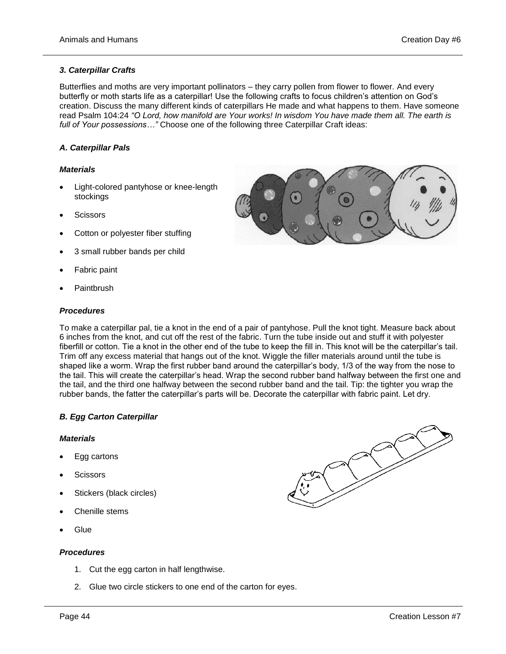## *3. Caterpillar Crafts*

Butterflies and moths are very important pollinators – they carry pollen from flower to flower. And every butterfly or moth starts life as a caterpillar! Use the following crafts to focus children's attention on God's creation. Discuss the many different kinds of caterpillars He made and what happens to them. Have someone read Psalm 104:24 *"O Lord, how manifold are Your works! In wisdom You have made them all. The earth is full of Your possessions…"* Choose one of the following three Caterpillar Craft ideas:

## *A. Caterpillar Pals*

## *Materials*

- Light-colored pantyhose or knee-length stockings
- **Scissors**
- Cotton or polyester fiber stuffing
- 3 small rubber bands per child
- Fabric paint
- Paintbrush

#### *Procedures*

To make a caterpillar pal, tie a knot in the end of a pair of pantyhose. Pull the knot tight. Measure back about 6 inches from the knot, and cut off the rest of the fabric. Turn the tube inside out and stuff it with polyester fiberfill or cotton. Tie a knot in the other end of the tube to keep the fill in. This knot will be the caterpillar's tail. Trim off any excess material that hangs out of the knot. Wiggle the filler materials around until the tube is shaped like a worm. Wrap the first rubber band around the caterpillar's body, 1/3 of the way from the nose to the tail. This will create the caterpillar's head. Wrap the second rubber band halfway between the first one and the tail, and the third one halfway between the second rubber band and the tail. Tip: the tighter you wrap the rubber bands, the fatter the caterpillar's parts will be. Decorate the caterpillar with fabric paint. Let dry.

## *B. Egg Carton Caterpillar*

#### *Materials*

- Egg cartons
- **Scissors**
- Stickers (black circles)
- Chenille stems
- **Glue**

#### *Procedures*

- 1. Cut the egg carton in half lengthwise.
- 2. Glue two circle stickers to one end of the carton for eyes.



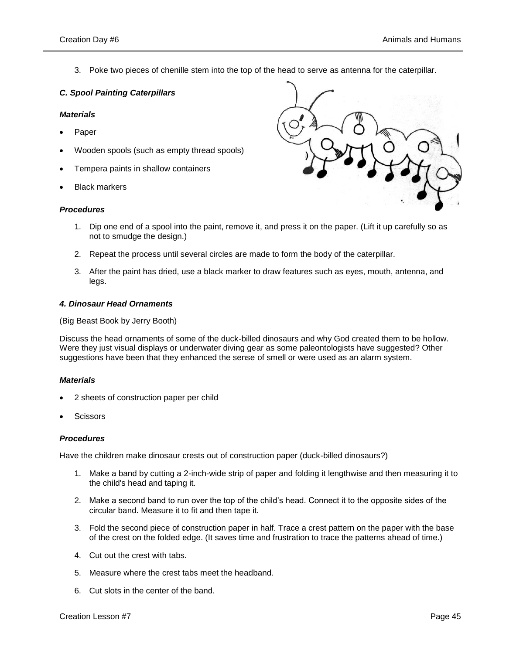3. Poke two pieces of chenille stem into the top of the head to serve as antenna for the caterpillar.

## *C. Spool Painting Caterpillars*

## *Materials*

- Paper
- Wooden spools (such as empty thread spools)
- Tempera paints in shallow containers
- Black markers

## *Procedures*



- 1. Dip one end of a spool into the paint, remove it, and press it on the paper. (Lift it up carefully so as not to smudge the design.)
- 2. Repeat the process until several circles are made to form the body of the caterpillar.
- 3. After the paint has dried, use a black marker to draw features such as eyes, mouth, antenna, and legs.

## *4. Dinosaur Head Ornaments*

(Big Beast Book by Jerry Booth)

Discuss the head ornaments of some of the duck-billed dinosaurs and why God created them to be hollow. Were they just visual displays or underwater diving gear as some paleontologists have suggested? Other suggestions have been that they enhanced the sense of smell or were used as an alarm system.

## *Materials*

- 2 sheets of construction paper per child
- **Scissors**

## *Procedures*

Have the children make dinosaur crests out of construction paper (duck-billed dinosaurs?)

- 1. Make a band by cutting a 2-inch-wide strip of paper and folding it lengthwise and then measuring it to the child's head and taping it.
- 2. Make a second band to run over the top of the child's head. Connect it to the opposite sides of the circular band. Measure it to fit and then tape it.
- 3. Fold the second piece of construction paper in half. Trace a crest pattern on the paper with the base of the crest on the folded edge. (It saves time and frustration to trace the patterns ahead of time.)
- 4. Cut out the crest with tabs.
- 5. Measure where the crest tabs meet the headband.
- 6. Cut slots in the center of the band.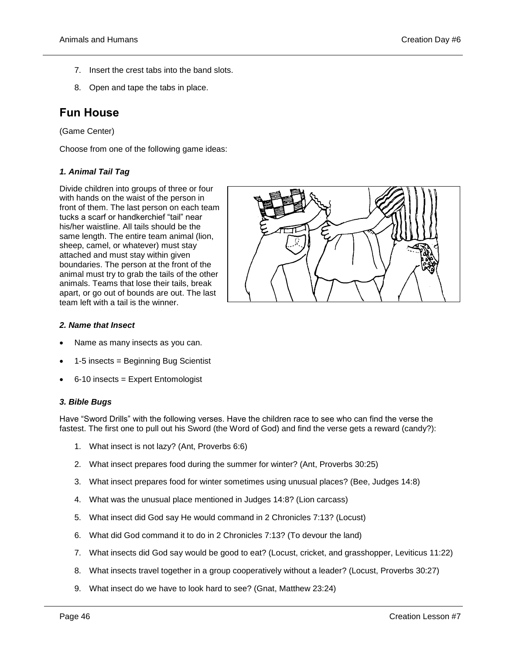- 7. Insert the crest tabs into the band slots.
- 8. Open and tape the tabs in place.

## **Fun House**

(Game Center)

Choose from one of the following game ideas:

## *1. Animal Tail Tag*

Divide children into groups of three or four with hands on the waist of the person in front of them. The last person on each team tucks a scarf or handkerchief "tail" near his/her waistline. All tails should be the same length. The entire team animal (lion, sheep, camel, or whatever) must stay attached and must stay within given boundaries. The person at the front of the animal must try to grab the tails of the other animals. Teams that lose their tails, break apart, or go out of bounds are out. The last team left with a tail is the winner.



## *2. Name that Insect*

- Name as many insects as you can.
- 1-5 insects = Beginning Bug Scientist
- 6-10 insects = Expert Entomologist

## *3. Bible Bugs*

Have "Sword Drills" with the following verses. Have the children race to see who can find the verse the fastest. The first one to pull out his Sword (the Word of God) and find the verse gets a reward (candy?):

- 1. What insect is not lazy? (Ant, Proverbs 6:6)
- 2. What insect prepares food during the summer for winter? (Ant, Proverbs 30:25)
- 3. What insect prepares food for winter sometimes using unusual places? (Bee, Judges 14:8)
- 4. What was the unusual place mentioned in Judges 14:8? (Lion carcass)
- 5. What insect did God say He would command in 2 Chronicles 7:13? (Locust)
- 6. What did God command it to do in 2 Chronicles 7:13? (To devour the land)
- 7. What insects did God say would be good to eat? (Locust, cricket, and grasshopper, Leviticus 11:22)
- 8. What insects travel together in a group cooperatively without a leader? (Locust, Proverbs 30:27)
- 9. What insect do we have to look hard to see? (Gnat, Matthew 23:24)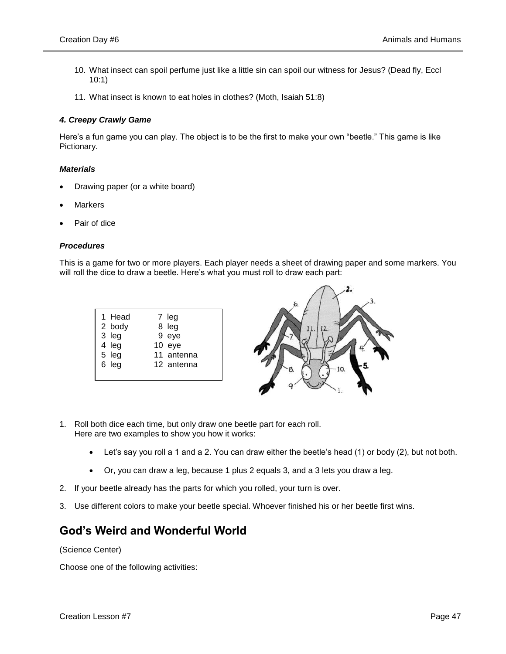- 10. What insect can spoil perfume just like a little sin can spoil our witness for Jesus? (Dead fly, Eccl 10:1)
- 11. What insect is known to eat holes in clothes? (Moth, Isaiah 51:8)

## *4. Creepy Crawly Game*

Here's a fun game you can play. The object is to be the first to make your own "beetle." This game is like Pictionary.

## *Materials*

- Drawing paper (or a white board)
- **Markers**
- Pair of dice

## *Procedures*

This is a game for two or more players. Each player needs a sheet of drawing paper and some markers. You will roll the dice to draw a beetle. Here's what you must roll to draw each part:



- 1. Roll both dice each time, but only draw one beetle part for each roll. Here are two examples to show you how it works:
	- Let's say you roll a 1 and a 2. You can draw either the beetle's head (1) or body (2), but not both.
	- Or, you can draw a leg, because 1 plus 2 equals 3, and a 3 lets you draw a leg.
- 2. If your beetle already has the parts for which you rolled, your turn is over.
- 3. Use different colors to make your beetle special. Whoever finished his or her beetle first wins.

## **God's Weird and Wonderful World**

(Science Center)

Choose one of the following activities: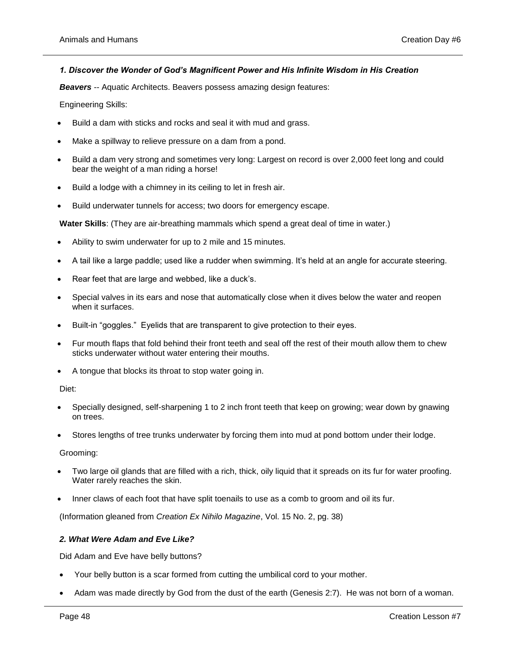## *1. Discover the Wonder of God's Magnificent Power and His Infinite Wisdom in His Creation*

**Beavers** -- Aquatic Architects. Beavers possess amazing design features:

Engineering Skills:

- Build a dam with sticks and rocks and seal it with mud and grass.
- Make a spillway to relieve pressure on a dam from a pond.
- Build a dam very strong and sometimes very long: Largest on record is over 2,000 feet long and could bear the weight of a man riding a horse!
- Build a lodge with a chimney in its ceiling to let in fresh air.
- Build underwater tunnels for access; two doors for emergency escape.

**Water Skills**: (They are air-breathing mammals which spend a great deal of time in water.)

- Ability to swim underwater for up to 2 mile and 15 minutes.
- A tail like a large paddle; used like a rudder when swimming. It's held at an angle for accurate steering.
- Rear feet that are large and webbed, like a duck's.
- Special valves in its ears and nose that automatically close when it dives below the water and reopen when it surfaces.
- Built-in "goggles." Eyelids that are transparent to give protection to their eyes.
- Fur mouth flaps that fold behind their front teeth and seal off the rest of their mouth allow them to chew sticks underwater without water entering their mouths.
- A tongue that blocks its throat to stop water going in.

Diet:

- Specially designed, self-sharpening 1 to 2 inch front teeth that keep on growing; wear down by gnawing on trees.
- Stores lengths of tree trunks underwater by forcing them into mud at pond bottom under their lodge.

Grooming:

- Two large oil glands that are filled with a rich, thick, oily liquid that it spreads on its fur for water proofing. Water rarely reaches the skin.
- Inner claws of each foot that have split toenails to use as a comb to groom and oil its fur.

(Information gleaned from *Creation Ex Nihilo Magazine*, Vol. 15 No. 2, pg. 38)

#### *2. What Were Adam and Eve Like?*

Did Adam and Eve have belly buttons?

- Your belly button is a scar formed from cutting the umbilical cord to your mother.
- Adam was made directly by God from the dust of the earth (Genesis 2:7). He was not born of a woman.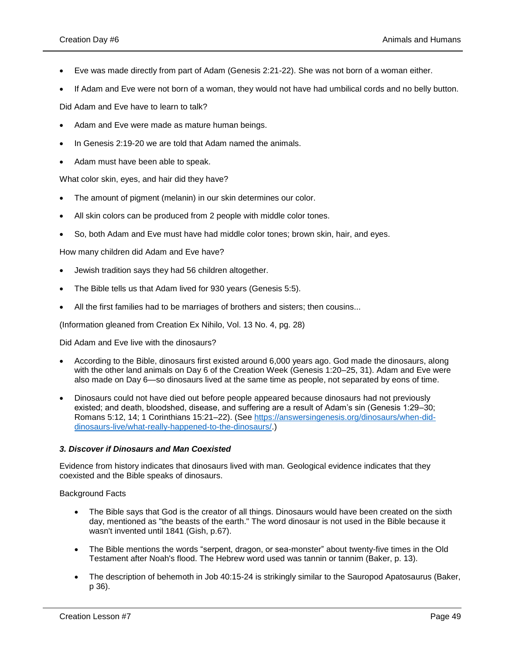- Eve was made directly from part of Adam (Genesis 2:21-22). She was not born of a woman either.
- If Adam and Eve were not born of a woman, they would not have had umbilical cords and no belly button.

Did Adam and Eve have to learn to talk?

- Adam and Eve were made as mature human beings.
- In Genesis 2:19-20 we are told that Adam named the animals.
- Adam must have been able to speak.

What color skin, eyes, and hair did they have?

- The amount of pigment (melanin) in our skin determines our color.
- All skin colors can be produced from 2 people with middle color tones.
- So, both Adam and Eve must have had middle color tones; brown skin, hair, and eyes.

How many children did Adam and Eve have?

- Jewish tradition says they had 56 children altogether.
- The Bible tells us that Adam lived for 930 years (Genesis 5:5).
- All the first families had to be marriages of brothers and sisters; then cousins...

(Information gleaned from Creation Ex Nihilo, Vol. 13 No. 4, pg. 28)

Did Adam and Eve live with the dinosaurs?

- According to the Bible, dinosaurs first existed around 6,000 years ago. God made the dinosaurs, along with the other land animals on Day 6 of the Creation Week (Genesis 1:20–25, 31). Adam and Eve were also made on Day 6—so dinosaurs lived at the same time as people, not separated by eons of time.
- Dinosaurs could not have died out before people appeared because dinosaurs had not previously existed; and death, bloodshed, disease, and suffering are a result of Adam's sin (Genesis 1:29–30; Romans 5:12, 14; 1 Corinthians 15:21–22). (See [https://answersingenesis.org/dinosaurs/when-did](https://answersingenesis.org/dinosaurs/when-did-dinosaurs-live/what-really-happened-to-the-dinosaurs/)[dinosaurs-live/what-really-happened-to-the-dinosaurs/.](https://answersingenesis.org/dinosaurs/when-did-dinosaurs-live/what-really-happened-to-the-dinosaurs/))

#### *3. Discover if Dinosaurs and Man Coexisted*

Evidence from history indicates that dinosaurs lived with man. Geological evidence indicates that they coexisted and the Bible speaks of dinosaurs.

Background Facts

- The Bible says that God is the creator of all things. Dinosaurs would have been created on the sixth day, mentioned as "the beasts of the earth." The word dinosaur is not used in the Bible because it wasn't invented until 1841 (Gish, p.67).
- The Bible mentions the words "serpent, dragon, or sea-monster" about twenty-five times in the Old Testament after Noah's flood. The Hebrew word used was tannin or tannim (Baker, p. 13).
- The description of behemoth in Job 40:15-24 is strikingly similar to the Sauropod Apatosaurus (Baker, p 36).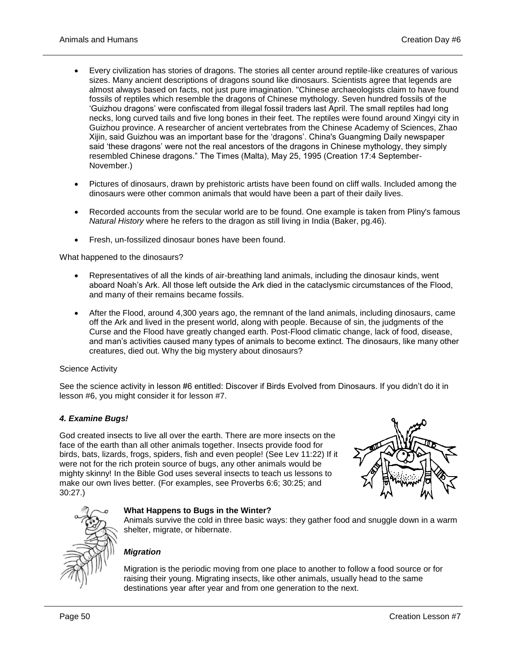- Every civilization has stories of dragons. The stories all center around reptile-like creatures of various sizes. Many ancient descriptions of dragons sound like dinosaurs. Scientists agree that legends are almost always based on facts, not just pure imagination. "Chinese archaeologists claim to have found fossils of reptiles which resemble the dragons of Chinese mythology. Seven hundred fossils of the 'Guizhou dragons' were confiscated from illegal fossil traders last April. The small reptiles had long necks, long curved tails and five long bones in their feet. The reptiles were found around Xingyi city in Guizhou province. A researcher of ancient vertebrates from the Chinese Academy of Sciences, Zhao Xijin, said Guizhou was an important base for the 'dragons'. China's Guangming Daily newspaper said 'these dragons' were not the real ancestors of the dragons in Chinese mythology, they simply resembled Chinese dragons." The Times (Malta), May 25, 1995 (Creation 17:4 September-November.)
- Pictures of dinosaurs, drawn by prehistoric artists have been found on cliff walls. Included among the dinosaurs were other common animals that would have been a part of their daily lives.
- Recorded accounts from the secular world are to be found. One example is taken from Pliny's famous *Natural History* where he refers to the dragon as still living in India (Baker, pg.46).
- Fresh, un-fossilized dinosaur bones have been found.

What happened to the dinosaurs?

- Representatives of all the kinds of air-breathing land animals, including the dinosaur kinds, went aboard Noah's Ark. All those left outside the Ark died in the cataclysmic circumstances of the Flood, and many of their remains became fossils.
- After the Flood, around 4,300 years ago, the remnant of the land animals, including dinosaurs, came off the Ark and lived in the present world, along with people. Because of sin, the judgments of the Curse and the Flood have greatly changed earth. Post-Flood climatic change, lack of food, disease, and man's activities caused many types of animals to become extinct. The dinosaurs, like many other creatures, died out. Why the big mystery about dinosaurs?

## Science Activity

See the science activity in lesson #6 entitled: Discover if Birds Evolved from Dinosaurs. If you didn't do it in lesson #6, you might consider it for lesson #7.

## *4. Examine Bugs!*

God created insects to live all over the earth. There are more insects on the face of the earth than all other animals together. Insects provide food for birds, bats, lizards, frogs, spiders, fish and even people! (See Lev 11:22) If it were not for the rich protein source of bugs, any other animals would be mighty skinny! In the Bible God uses several insects to teach us lessons to make our own lives better. (For examples, see Proverbs 6:6; 30:25; and 30:27.)





#### **What Happens to Bugs in the Winter?**

Animals survive the cold in three basic ways: they gather food and snuggle down in a warm shelter, migrate, or hibernate.

## *Migration*

Migration is the periodic moving from one place to another to follow a food source or for raising their young. Migrating insects, like other animals, usually head to the same destinations year after year and from one generation to the next.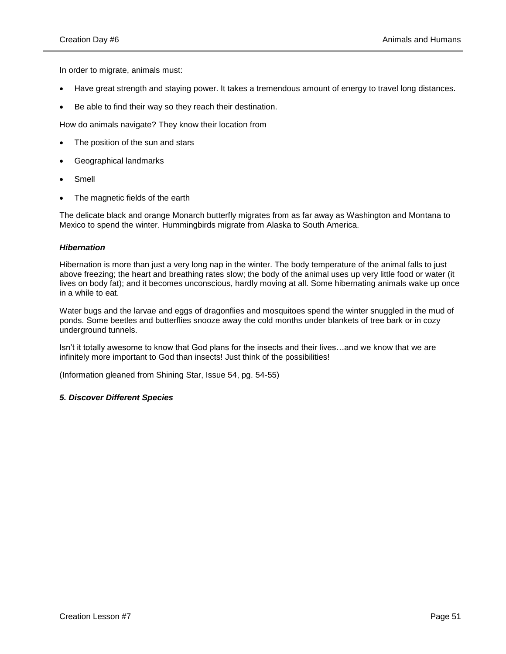In order to migrate, animals must:

- Have great strength and staying power. It takes a tremendous amount of energy to travel long distances.
- Be able to find their way so they reach their destination.

How do animals navigate? They know their location from

- The position of the sun and stars
- Geographical landmarks
- Smell
- The magnetic fields of the earth

The delicate black and orange Monarch butterfly migrates from as far away as Washington and Montana to Mexico to spend the winter. Hummingbirds migrate from Alaska to South America.

## *Hibernation*

Hibernation is more than just a very long nap in the winter. The body temperature of the animal falls to just above freezing; the heart and breathing rates slow; the body of the animal uses up very little food or water (it lives on body fat); and it becomes unconscious, hardly moving at all. Some hibernating animals wake up once in a while to eat.

Water bugs and the larvae and eggs of dragonflies and mosquitoes spend the winter snuggled in the mud of ponds. Some beetles and butterflies snooze away the cold months under blankets of tree bark or in cozy underground tunnels.

Isn't it totally awesome to know that God plans for the insects and their lives…and we know that we are infinitely more important to God than insects! Just think of the possibilities!

(Information gleaned from Shining Star, Issue 54, pg. 54-55)

## *5. Discover Different Species*